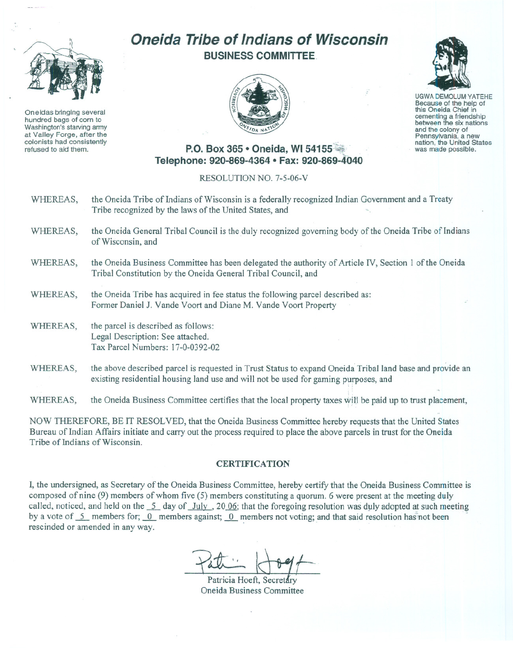

Oneidas bringing several hundred bags of com to Washington's starving army at Valley Forge, after the colonists had consistently refused to aid them.

## **Oneida Tribe of Indians of Wisconsin BUSINESS COMMITTEE.**





UGWA DEMOLUM YATEHE Because of the help of this Oneida Chief in between the six nations and the colony of<br>Pennsylvania, a new nation, the United States was made possible.

## **P.O. Box 365 • Oneida, WI 54155 Telephone: 920-869-4364 • Fax: 920-869-4040**

RESOLUTION NO. 7-5-06-V

- WHEREAS, the Oneida Tribe of Indians of Wisconsin is a federally recognized Indian Government and a Treaty Tribe recognized by the laws of the United States, and
- WHEREAS, the Oneida General Tribal Council is the duly recognized governing body of the Oneida Tribe of Indians of Wisconsin, and
- WHEREAS, the Oneida Business Committee has been delegated the authority of Article IV, Section I of the Oneida Tribal Constitution by the Oneida General Tribal Council, and
- WHEREAS, the Oneida Tribe has acquired in fee status the following parcel described as: Former Daniel J. Vande Voort and Diane M. Vande Voort Property
- WHEREAS, the parcel is described as follows: Legal Description: See attached. Tax Parcel Numbers: 17-0-0392-02
- WHEREAS, the above described parcel is requested in Trust Status to expand Oneida Tribal land base and provide an existing residential housing land use and will not be used for gaming purposes, and

WHEREAS, the Oneida Business Committee certifies that the local property taxes will be paid up to trust placement,

NOW THEREFORE, BE IT RESOLVED, that the Oneida Business Committee hereby requests that the United States Bureau of Indian Affairs initiate and carry out the process required to place the above parcels in trust for the Oneida Tribe of Indians of Wisconsin.

## **CERTIFICATION**

I, the undersigned, as Secretary of the Oneida Business Committee, hereby certify that the Oneida Business Committee is composed of nine (9) members of whom five (5) members constituting a quorum. 6 were present at the meeting duly called, noticed, and held on the  $\frac{5}{1}$  day of  $\frac{July}{1}$ , 20 06; that the foregoing resolution was duly adopted at such meeting by a vote of 5\_ members for; 0\_ members against; 0\_ members not voting; and that said resolution has not been rescinded or amended in any way.

Patricia Hoeft, Secretar Oneida Business Committee